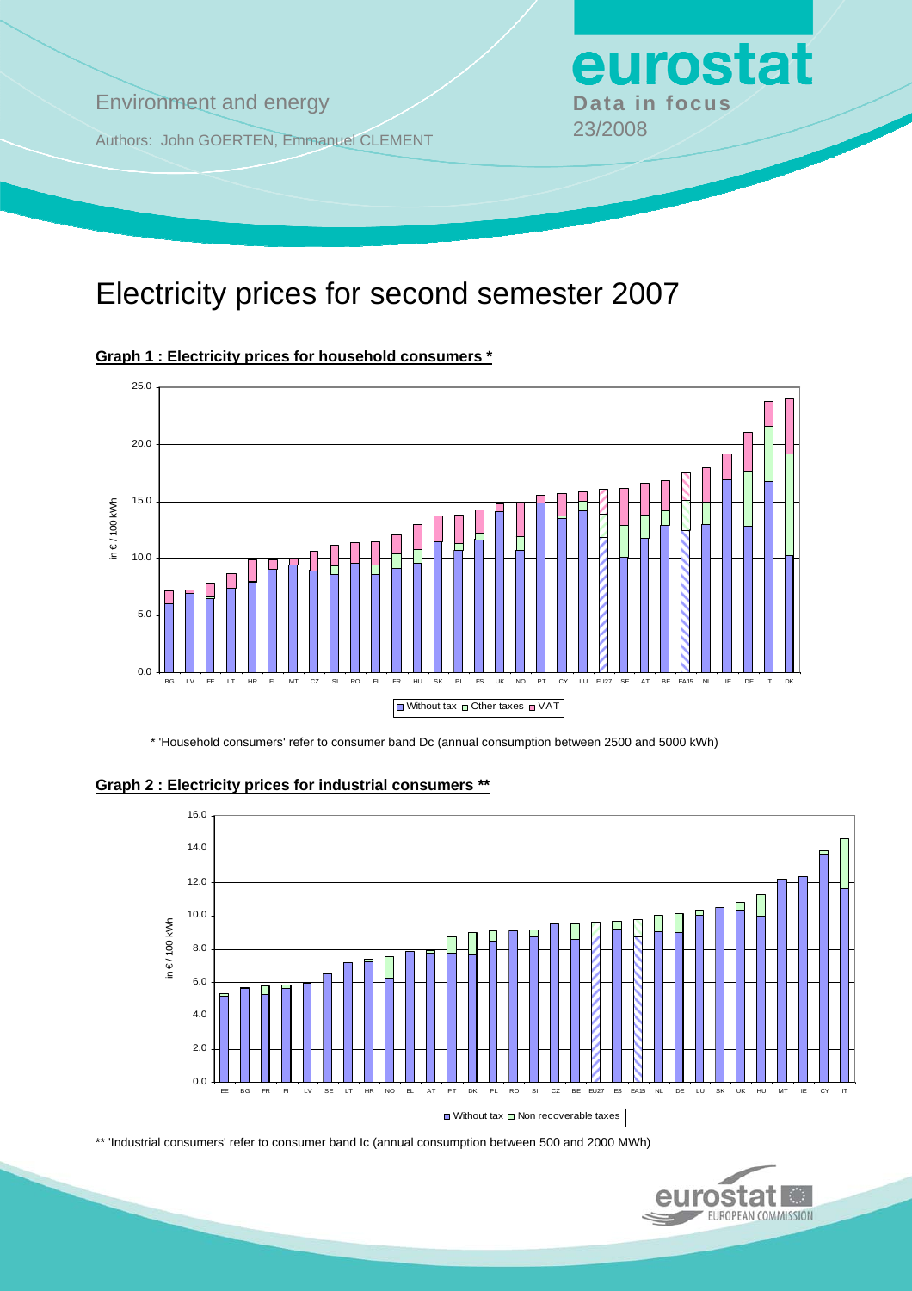## **Environment and energy by Data in focus**

Authors: John GOERTEN, Emmanuel CLEMENT 23/2008

# Electricity prices for second semester 2007



**Graph 1 : Electricity prices for household consumers \***

\* 'Household consumers' refer to consumer band Dc (annual consumption between 2500 and 5000 kWh)





\*\* 'Industrial consumers' refer to consumer band Ic (annual consumption between 500 and 2000 MWh)



eurostat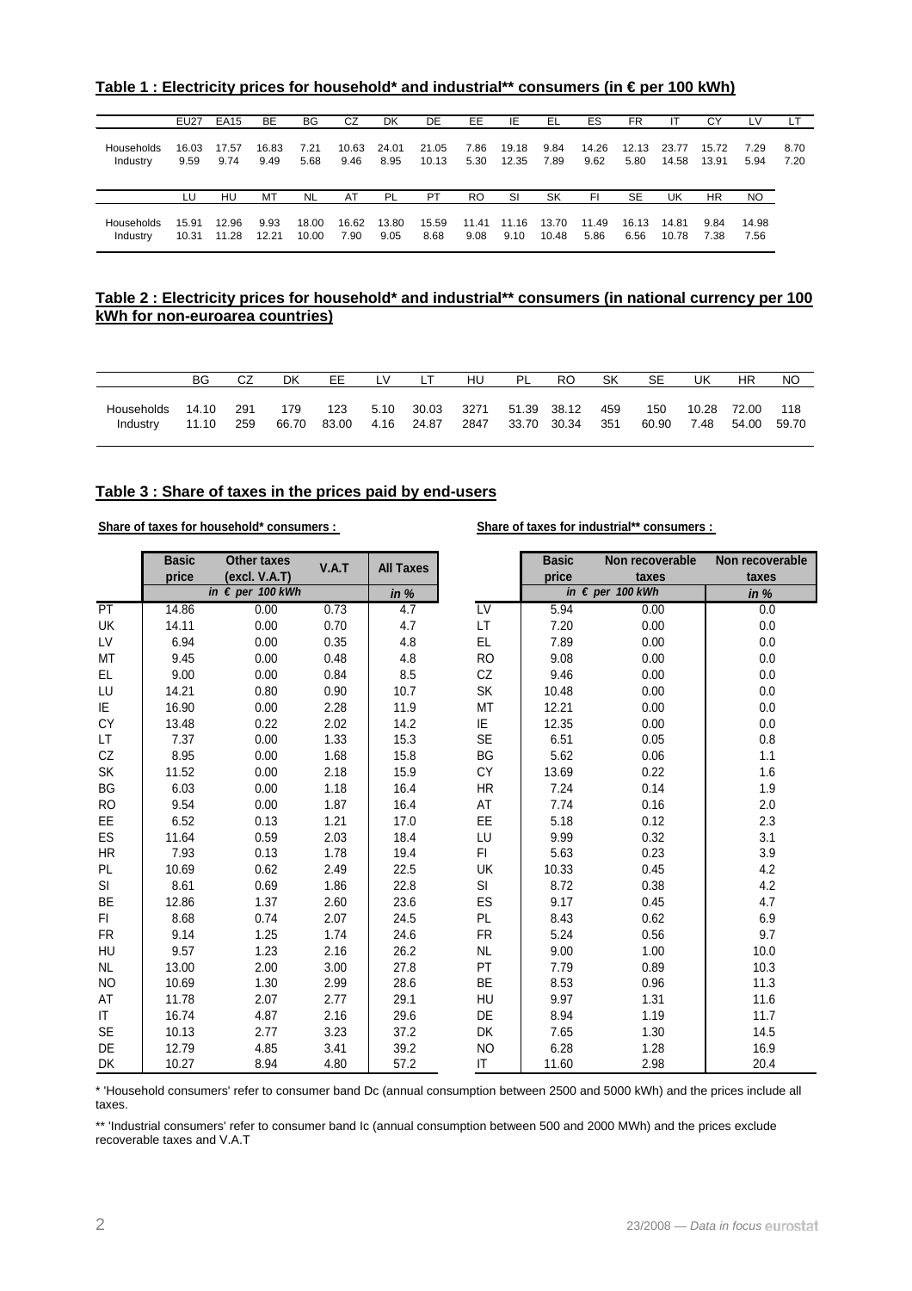Table 1 : Electricity prices for household<sup>\*</sup> and industrial<sup>\*\*</sup> consumers (in € per 100 kWh)

|                        | <b>EU27</b>    | <b>EA15</b>    | <b>BE</b>     | BG             | CZ            | <b>DK</b>     | DE             | EE            | IE             | EL             | ES            | <b>FR</b>     | ΙT             | CY             |               |              |
|------------------------|----------------|----------------|---------------|----------------|---------------|---------------|----------------|---------------|----------------|----------------|---------------|---------------|----------------|----------------|---------------|--------------|
|                        |                |                |               |                |               |               |                |               |                |                |               |               |                |                |               |              |
| Households<br>Industry | 16.03<br>9.59  | 17.57<br>9.74  | 16.83<br>9.49 | 7.21<br>5.68   | 10.63<br>9.46 | 24.01<br>8.95 | 21.05<br>10.13 | 7.86<br>5.30  | 19.18<br>12.35 | 9.84<br>7.89   | 14.26<br>9.62 | 12.13<br>5.80 | 23.77<br>14.58 | 15.72<br>13.91 | 7.29<br>5.94  | 8.70<br>7.20 |
|                        | LU             | HU             | MT            | <b>NL</b>      | AT            | PL            | PT             | <b>RO</b>     | SI             | SK             | FI            | <b>SE</b>     | UK             | <b>HR</b>      | NO.           |              |
| Households<br>Industry | 15.91<br>10.31 | 12.96<br>11.28 | 9.93<br>12.21 | 18.00<br>10.00 | 16.62<br>7.90 | 13.80<br>9.05 | 15.59<br>8.68  | 11.41<br>9.08 | 11.16<br>9.10  | 13.70<br>10.48 | 11.49<br>5.86 | 16.13<br>6.56 | 14.81<br>10.78 | 9.84<br>7.38   | 14.98<br>7.56 |              |

#### **Table 2 : Electricity prices for household\* and industrial\*\* consumers (in national currency per 100 kWh for non-euroarea countries)**

|            | BG    |     | DK    | ЕE    | LV   |       | HU   | -PL | RO          | SK  | SE    | JΚ    | HR    | NO    |
|------------|-------|-----|-------|-------|------|-------|------|-----|-------------|-----|-------|-------|-------|-------|
|            |       |     |       |       |      |       |      |     |             |     |       |       |       |       |
| Households | 14.10 | 291 | 179   | 123   | 5.10 | 30.03 | 3271 |     | 51.39 38.12 | 459 | 150   | 10.28 | 72.00 | 118   |
| Industry   | 11.10 | 259 | 66.70 | 83.00 | 4.16 | 24.87 | 2847 |     | 33.70 30.34 | 351 | 60.90 | 7.48  | 54.00 | 59.70 |
|            |       |     |       |       |      |       |      |     |             |     |       |       |       |       |

#### **Table 3 : Share of taxes in the prices paid by end-users**

#### Share of taxes for household\* consumers : Share of taxes for industrial\*\* consumers :

|           | <b>Basic</b><br>price | <b>Other taxes</b><br>(excl. V.A.T) | V.A.T | <b>All Taxes</b> |                        | <b>Basic</b><br>price | Non recoverable<br>taxes  | Non recoverable<br>taxes |
|-----------|-----------------------|-------------------------------------|-------|------------------|------------------------|-----------------------|---------------------------|--------------------------|
|           |                       | in $\epsilon$ per 100 kWh           |       | in $%$           |                        |                       | in $\epsilon$ per 100 kWh | in $%$                   |
| PT        | 14.86                 | 0.00                                | 0.73  | 4.7              | $\overline{\text{LV}}$ | 5.94                  | 0.00                      | 0.0                      |
| UK        | 14.11                 | 0.00                                | 0.70  | 4.7              | LT                     | 7.20                  | 0.00                      | 0.0                      |
| LV        | 6.94                  | 0.00                                | 0.35  | 4.8              | EL                     | 7.89                  | 0.00                      | 0.0                      |
| MT        | 9.45                  | 0.00                                | 0.48  | 4.8              | <b>RO</b>              | 9.08                  | 0.00                      | 0.0                      |
| EL        | 9.00                  | 0.00                                | 0.84  | 8.5              | CZ                     | 9.46                  | 0.00                      | 0.0                      |
| LU        | 14.21                 | 0.80                                | 0.90  | 10.7             | SK                     | 10.48                 | 0.00                      | 0.0                      |
| IE        | 16.90                 | 0.00                                | 2.28  | 11.9             | MT                     | 12.21                 | 0.00                      | 0.0                      |
| СY        | 13.48                 | 0.22                                | 2.02  | 14.2             | IE                     | 12.35                 | 0.00                      | 0.0                      |
| LT        | 7.37                  | 0.00                                | 1.33  | 15.3             | <b>SE</b>              | 6.51                  | 0.05                      | 0.8                      |
| CZ        | 8.95                  | 0.00                                | 1.68  | 15.8             | BG                     | 5.62                  | 0.06                      | 1.1                      |
| SK        | 11.52                 | 0.00                                | 2.18  | 15.9             | CY                     | 13.69                 | 0.22                      | $1.6\,$                  |
| BG        | 6.03                  | 0.00                                | 1.18  | 16.4             | HR                     | 7.24                  | 0.14                      | 1.9                      |
| <b>RO</b> | 9.54                  | 0.00                                | 1.87  | 16.4             | AT                     | 7.74                  | 0.16                      | 2.0                      |
| EE        | 6.52                  | 0.13                                | 1.21  | 17.0             | EE                     | 5.18                  | 0.12                      | 2.3                      |
| ES        | 11.64                 | 0.59                                | 2.03  | 18.4             | LU                     | 9.99                  | 0.32                      | 3.1                      |
| <b>HR</b> | 7.93                  | 0.13                                | 1.78  | 19.4             | FI                     | 5.63                  | 0.23                      | 3.9                      |
| PL        | 10.69                 | 0.62                                | 2.49  | 22.5             | UK                     | 10.33                 | 0.45                      | 4.2                      |
| SI        | 8.61                  | 0.69                                | 1.86  | 22.8             | SI                     | 8.72                  | 0.38                      | 4.2                      |
| BE        | 12.86                 | 1.37                                | 2.60  | 23.6             | ES                     | 9.17                  | 0.45                      | 4.7                      |
| FI.       | 8.68                  | 0.74                                | 2.07  | 24.5             | PL                     | 8.43                  | 0.62                      | 6.9                      |
| <b>FR</b> | 9.14                  | 1.25                                | 1.74  | 24.6             | <b>FR</b>              | 5.24                  | 0.56                      | 9.7                      |
| HU        | 9.57                  | 1.23                                | 2.16  | 26.2             | <b>NL</b>              | 9.00                  | 1.00                      | 10.0                     |
| <b>NL</b> | 13.00                 | 2.00                                | 3.00  | 27.8             | PT                     | 7.79                  | 0.89                      | 10.3                     |
| <b>NO</b> | 10.69                 | 1.30                                | 2.99  | 28.6             | BE                     | 8.53                  | 0.96                      | 11.3                     |
| AT        | 11.78                 | 2.07                                | 2.77  | 29.1             | HU                     | 9.97                  | 1.31                      | 11.6                     |
| IT        | 16.74                 | 4.87                                | 2.16  | 29.6             | DE                     | 8.94                  | 1.19                      | 11.7                     |
| SE        | 10.13                 | 2.77                                | 3.23  | 37.2             | DK                     | 7.65                  | 1.30                      | 14.5                     |
| DE        | 12.79                 | 4.85                                | 3.41  | 39.2             | <b>NO</b>              | 6.28                  | 1.28                      | 16.9                     |
| <b>DK</b> | 10.27                 | 8.94                                | 4.80  | 57.2             | $\mathsf{I}\mathsf{T}$ | 11.60                 | 2.98                      | 20.4                     |

\* 'Household consumers' refer to consumer band Dc (annual consumption between 2500 and 5000 kWh) and the prices include all taxes.

\*\* 'Industrial consumers' refer to consumer band Ic (annual consumption between 500 and 2000 MWh) and the prices exclude recoverable taxes and V.A.T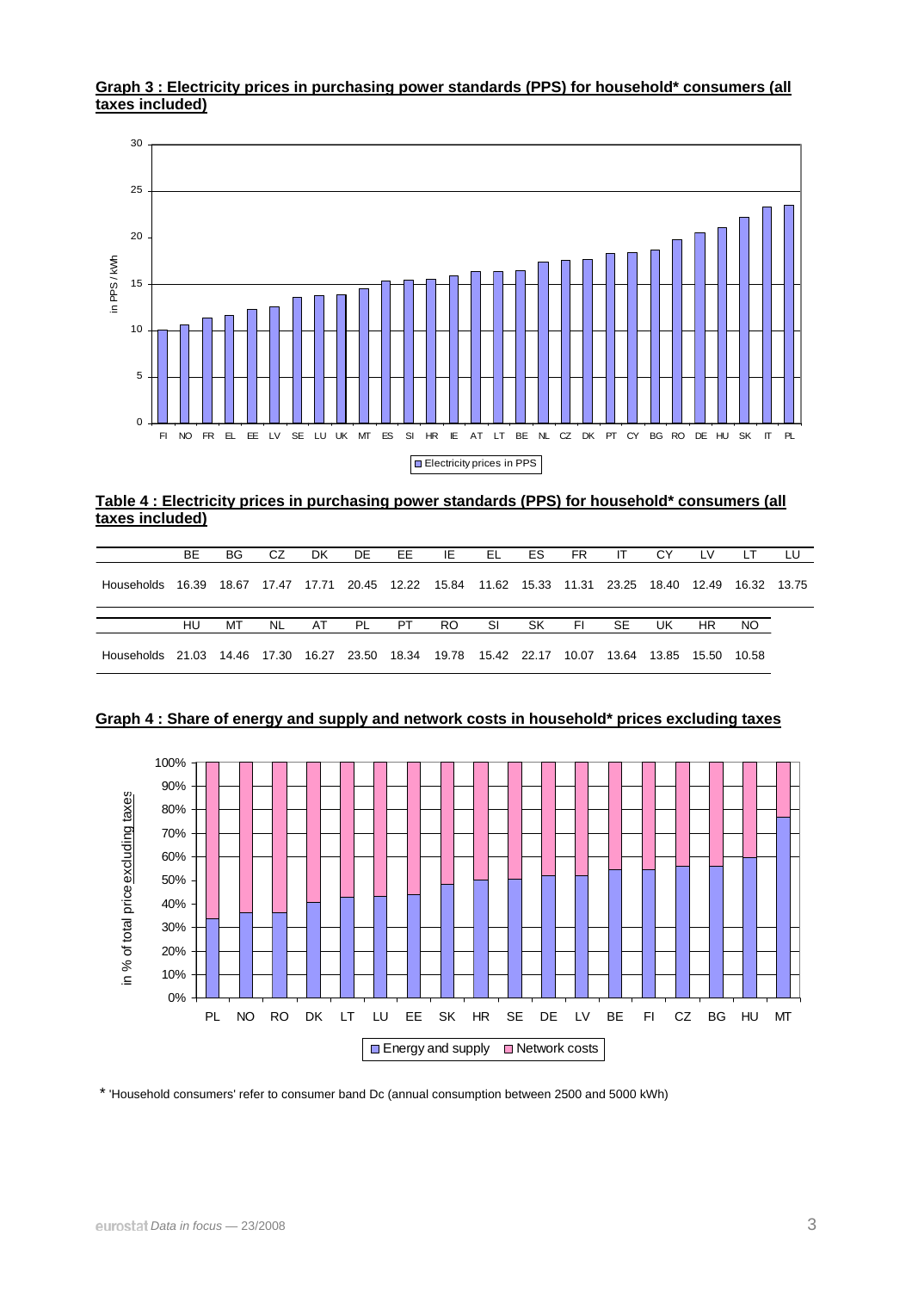#### **Graph 3 : Electricity prices in purchasing power standards (PPS) for household\* consumers (all taxes included)**



**Table 4 : Electricity prices in purchasing power standards (PPS) for household\* consumers (all taxes included)**

|                  | BE. | BG | CZ        | <b>DK</b> | DE. | EE. | IE                                                                                  | EL | ES. | FR. | -IT | CY. | LV.       | LТ  | LU |
|------------------|-----|----|-----------|-----------|-----|-----|-------------------------------------------------------------------------------------|----|-----|-----|-----|-----|-----------|-----|----|
| Households 16.39 |     |    |           |           |     |     | 18.67 17.47 17.71 20.45 12.22 15.84 11.62 15.33 11.31 23.25 18.40 12.49 16.32 13.75 |    |     |     |     |     |           |     |    |
|                  |     |    |           |           |     |     |                                                                                     |    |     |     |     |     |           |     |    |
|                  | HU  | MТ | <b>NL</b> | AT        | PL  | PT  | RO.                                                                                 | SI | SK. | FI. | SE. | UK  | <b>HR</b> | NO. |    |



**Graph 4 : Share of energy and supply and network costs in household\* prices excluding taxes** 

\* 'Household consumers' refer to consumer band Dc (annual consumption between 2500 and 5000 kWh)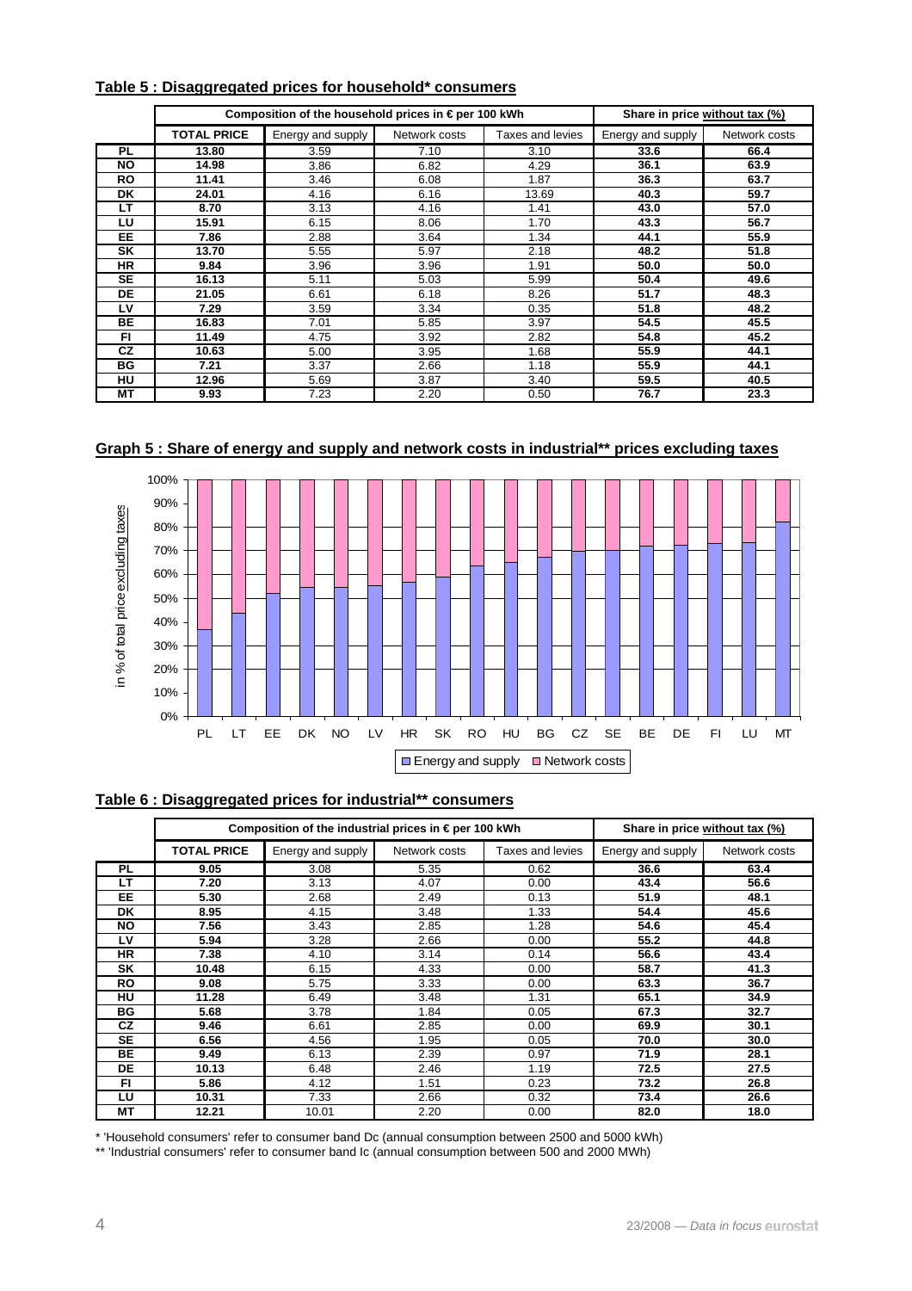|           |                    | Composition of the household prices in $\epsilon$ per 100 kWh | Share in price without tax (%) |                  |                   |               |
|-----------|--------------------|---------------------------------------------------------------|--------------------------------|------------------|-------------------|---------------|
|           | <b>TOTAL PRICE</b> | Energy and supply                                             | Network costs                  | Taxes and levies | Energy and supply | Network costs |
| <b>PL</b> | 13.80              | 3.59                                                          | 7.10                           | 3.10             | 33.6              | 66.4          |
| NO.       | 14.98              | 3.86                                                          | 6.82                           | 4.29             | 36.1              | 63.9          |
| RO.       | 11.41              | 3.46                                                          | 6.08                           | 1.87             | 36.3              | 63.7          |
| <b>DK</b> | 24.01              | 4.16                                                          | 6.16                           | 13.69            | 40.3              | 59.7          |
| LТ        | 8.70               | 3.13                                                          | 4.16                           | 1.41             | 43.0              | 57.0          |
| LU        | 15.91              | 6.15                                                          | 8.06                           | 1.70             | 43.3              | 56.7          |
| EE.       | 7.86               | 2.88                                                          | 3.64                           | 1.34             | 44.1              | 55.9          |
| SK        | 13.70              | 5.55                                                          | 5.97                           | 2.18             | 48.2              | 51.8          |
| <b>HR</b> | 9.84               | 3.96                                                          | 3.96                           | 1.91             | 50.0              | 50.0          |
| <b>SE</b> | 16.13              | 5.11                                                          | 5.03                           | 5.99             | 50.4              | 49.6          |
| <b>DE</b> | 21.05              | 6.61                                                          | 6.18                           | 8.26             | 51.7              | 48.3          |
| LV        | 7.29               | 3.59                                                          | 3.34                           | 0.35             | 51.8              | 48.2          |
| <b>BE</b> | 16.83              | 7.01                                                          | 5.85                           | 3.97             | 54.5              | 45.5          |
| FI        | 11.49              | 4.75                                                          | 3.92                           | 2.82             | 54.8              | 45.2          |
| <b>CZ</b> | 10.63              | 5.00                                                          | 3.95                           | 1.68             | 55.9              | 44.1          |
| <b>BG</b> | 7.21               | 3.37                                                          | 2.66                           | 1.18             | 55.9              | 44.1          |
| HU        | 12.96              | 5.69                                                          | 3.87                           | 3.40             | 59.5              | 40.5          |
| MT        | 9.93               | 7.23                                                          | 2.20                           | 0.50             | 76.7              | 23.3          |

#### **Table 5 : Disaggregated prices for household\* consumers**

**Graph 5 : Share of energy and supply and network costs in industrial\*\* prices excluding taxes**



#### **Table 6 : Disaggregated prices for industrial\*\* consumers**

|           |                    | Composition of the industrial prices in € per 100 kWh | Share in price without tax (%) |                  |                   |               |
|-----------|--------------------|-------------------------------------------------------|--------------------------------|------------------|-------------------|---------------|
|           | <b>TOTAL PRICE</b> | Energy and supply                                     | Network costs                  | Taxes and levies | Energy and supply | Network costs |
| <b>PL</b> | 9.05               | 3.08                                                  | 5.35                           | 0.62             | 36.6              | 63.4          |
| LT        | 7.20               | 3.13                                                  | 4.07                           | 0.00             | 43.4              | 56.6          |
| EE.       | 5.30               | 2.68                                                  | 2.49                           | 0.13             | 51.9              | 48.1          |
| DK.       | 8.95               | 4.15                                                  | 3.48                           | 1.33             | 54.4              | 45.6          |
| NO.       | 7.56               | 3.43                                                  | 2.85                           | 1.28             | 54.6              | 45.4          |
| LV        | 5.94               | 3.28                                                  | 2.66                           | 0.00             | 55.2              | 44.8          |
| <b>HR</b> | 7.38               | 4.10                                                  | 3.14                           | 0.14             | 56.6              | 43.4          |
| <b>SK</b> | 10.48              | 6.15                                                  | 4.33                           | 0.00             | 58.7              | 41.3          |
| <b>RO</b> | 9.08               | 5.75                                                  | 3.33                           | 0.00             | 63.3              | 36.7          |
| HU        | 11.28              | 6.49                                                  | 3.48                           | 1.31             | 65.1              | 34.9          |
| BG        | 5.68               | 3.78                                                  | 1.84                           | 0.05             | 67.3              | 32.7          |
| <b>CZ</b> | 9.46               | 6.61                                                  | 2.85                           | 0.00             | 69.9              | 30.1          |
| <b>SE</b> | 6.56               | 4.56                                                  | 1.95                           | 0.05             | 70.0              | 30.0          |
| <b>BE</b> | 9.49               | 6.13                                                  | 2.39                           | 0.97             | 71.9              | 28.1          |
| <b>DE</b> | 10.13              | 6.48                                                  | 2.46                           | 1.19             | 72.5              | 27.5          |
| FI.       | 5.86               | 4.12                                                  | 1.51                           | 0.23             | 73.2              | 26.8          |
| LU        | 10.31              | 7.33                                                  | 2.66                           | 0.32             | 73.4              | 26.6          |
| MT        | 12.21              | 10.01                                                 | 2.20                           | 0.00             | 82.0              | 18.0          |

\* 'Household consumers' refer to consumer band Dc (annual consumption between 2500 and 5000 kWh)

\*\* 'Industrial consumers' refer to consumer band Ic (annual consumption between 500 and 2000 MWh)